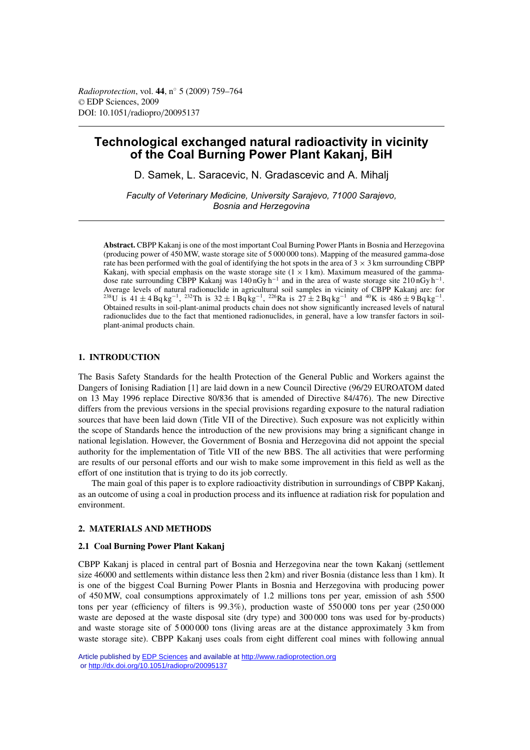# **Technological exchanged natural radioactivity in vicinity of the Coal Burning Power Plant Kakanj, BiH**

D. Samek, L. Saracevic, N. Gradascevic and A. Mihalj

*Faculty of Veterinary Medicine, University Sarajevo, 71000 Sarajevo, Bosnia and Herzegovina*

**Abstract.** CBPP Kakanj is one of the most important Coal Burning Power Plants in Bosnia and Herzegovina (producing power of 450 MW, waste storage site of 5 000 000 tons). Mapping of the measured gamma-dose rate has been performed with the goal of identifying the hot spots in the area of  $3 \times 3$  km surrounding CBPP Kakanj, with special emphasis on the waste storage site  $(1 \times 1 \text{ km})$ . Maximum measured of the gammadose rate surrounding CBPP Kakanj was 140 nGy h−<sup>1</sup> and in the area of waste storage site 210 nGy h−1. Average levels of natural radionuclide in agricultural soil samples in vicinity of CBPP Kakanj are: for  $^{238}$ U is  $41 \pm 4$  Bq kg<sup>-1</sup>,  $^{232}$ Th is  $32 \pm 1$  Bq kg<sup>-1</sup>,  $^{226}$ Ra is  $27 \pm 2$  Bq kg<sup>-1</sup> and  $^{40}$ K is  $486 \pm 9$  Bq kg<sup>-1</sup> . Obtained results in soil-plant-animal products chain does not show significantly increased levels of natural radionuclides due to the fact that mentioned radionuclides, in general, have a low transfer factors in soilplant-animal products chain.

# **1. INTRODUCTION**

The Basis Safety Standards for the health Protection of the General Public and Workers against the Dangers of Ionising Radiation [1] are laid down in a new Council Directive (96/29 EUROATOM dated on 13 May 1996 replace Directive 80/836 that is amended of Directive 84/476). The new Directive differs from the previous versions in the special provisions regarding exposure to the natural radiation sources that have been laid down (Title VII of the Directive). Such exposure was not explicitly within the scope of Standards hence the introduction of the new provisions may bring a significant change in national legislation. However, the Government of Bosnia and Herzegovina did not appoint the special authority for the implementation of Title VII of the new BBS. The all activities that were performing are results of our personal efforts and our wish to make some improvement in this field as well as the effort of one institution that is trying to do its job correctly.

The main goal of this paper is to explore radioactivity distribution in surroundings of CBPP Kakanj, as an outcome of using a coal in production process and its influence at radiation risk for population and environment.

# **2. MATERIALS AND METHODS**

# **2.1 Coal Burning Power Plant Kakanj**

CBPP Kakanj is placed in central part of Bosnia and Herzegovina near the town Kakanj (settlement size 46000 and settlements within distance less then 2 km) and river Bosnia (distance less than 1 km). It is one of the biggest Coal Burning Power Plants in Bosnia and Herzegovina with producing power of 450 MW, coal consumptions approximately of 1.2 millions tons per year, emission of ash 5500 tons per year (efficiency of filters is 99.3%), production waste of 550 000 tons per year (250 000 waste are deposed at the waste disposal site (dry type) and 300 000 tons was used for by-products) and waste storage site of 5 000 000 tons (living areas are at the distance approximately 3 km from waste storage site). CBPP Kakanj uses coals from eight different coal mines with following annual

Article published by [EDP Sciences](http://www.edpsciences.org) and available at<http://www.radioprotection.org> or <http://dx.doi.org/10.1051/radiopro/20095137>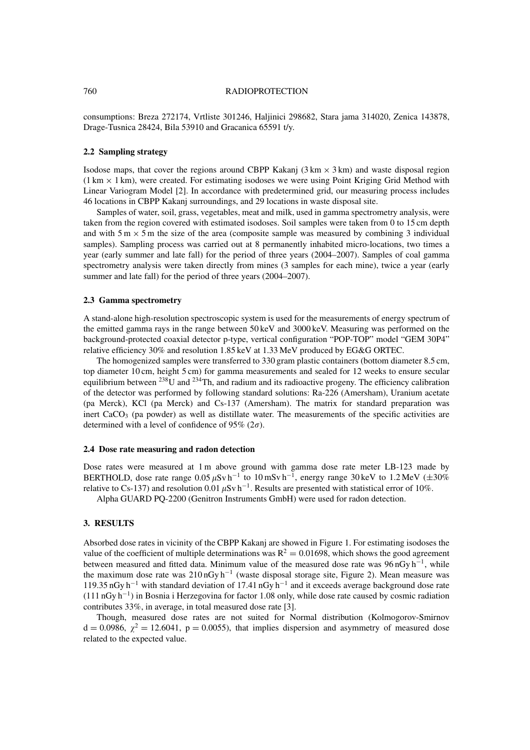### 760 RADIOPROTECTION

consumptions: Breza 272174, Vrtliste 301246, Haljinici 298682, Stara jama 314020, Zenica 143878, Drage-Tusnica 28424, Bila 53910 and Gracanica 65591 t/y.

### **2.2 Sampling strategy**

Isodose maps, that cover the regions around CBPP Kakanj  $(3 \text{ km} \times 3 \text{ km})$  and waste disposal region  $(1 \text{ km} \times 1 \text{ km})$ , were created. For estimating isodoses we were using Point Kriging Grid Method with Linear Variogram Model [2]. In accordance with predetermined grid, our measuring process includes 46 locations in CBPP Kakanj surroundings, and 29 locations in waste disposal site.

Samples of water, soil, grass, vegetables, meat and milk, used in gamma spectrometry analysis, were taken from the region covered with estimated isodoses. Soil samples were taken from 0 to 15 cm depth and with  $5 \text{ m} \times 5 \text{ m}$  the size of the area (composite sample was measured by combining 3 individual samples). Sampling process was carried out at 8 permanently inhabited micro-locations, two times a year (early summer and late fall) for the period of three years (2004–2007). Samples of coal gamma spectrometry analysis were taken directly from mines (3 samples for each mine), twice a year (early summer and late fall) for the period of three years (2004–2007).

### **2.3 Gamma spectrometry**

A stand-alone high-resolution spectroscopic system is used for the measurements of energy spectrum of the emitted gamma rays in the range between 50 keV and 3000 keV. Measuring was performed on the background-protected coaxial detector p-type, vertical configuration "POP-TOP" model "GEM 30P4" relative efficiency 30% and resolution 1.85 keV at 1.33 MeV produced by EG&G ORTEC.

The homogenized samples were transferred to 330 gram plastic containers (bottom diameter 8.5 cm, top diameter 10 cm, height 5 cm) for gamma measurements and sealed for 12 weeks to ensure secular equilibrium between  $^{238}$ U and  $^{234}$ Th, and radium and its radioactive progeny. The efficiency calibration of the detector was performed by following standard solutions: Ra-226 (Amersham), Uranium acetate (pa Merck), KCl (pa Merck) and Cs-137 (Amersham). The matrix for standard preparation was inert  $CaCO<sub>3</sub>$  (pa powder) as well as distillate water. The measurements of the specific activities are determined with a level of confidence of 95% ( $2\sigma$ ).

#### **2.4 Dose rate measuring and radon detection**

Dose rates were measured at 1 m above ground with gamma dose rate meter LB-123 made by BERTHOLD, dose rate range  $0.05 \,\mu\text{Sv} \,\text{h}^{-1}$  to  $10 \,\text{mSv} \,\text{h}^{-1}$ , energy range 30 keV to 1.2 MeV ( $\pm 30\%$ ) relative to Cs-137) and resolution 0.01  $\mu$ Sv h<sup>-1</sup>. Results are presented with statistical error of 10%.

Alpha GUARD PQ-2200 (Genitron Instruments GmbH) were used for radon detection.

# **3. RESULTS**

Absorbed dose rates in vicinity of the CBPP Kakanj are showed in Figure 1. For estimating isodoses the value of the coefficient of multiple determinations was  $R^2 = 0.01698$ , which shows the good agreement between measured and fitted data. Minimum value of the measured dose rate was 96 nGy h−1, while the maximum dose rate was 210 nGy h−<sup>1</sup> (waste disposal storage site, Figure 2). Mean measure was 119.35 nGy h−<sup>1</sup> with standard deviation of 17.41 nGy h−<sup>1</sup> and it exceeds average background dose rate (111 nGy h−1) in Bosnia i Herzegovina for factor 1.08 only, while dose rate caused by cosmic radiation contributes 33%, in average, in total measured dose rate [3].

Though, measured dose rates are not suited for Normal distribution (Kolmogorov-Smirnov  $d = 0.0986$ ,  $\chi^2 = 12.6041$ ,  $p = 0.0055$ ), that implies dispersion and asymmetry of measured dose related to the expected value.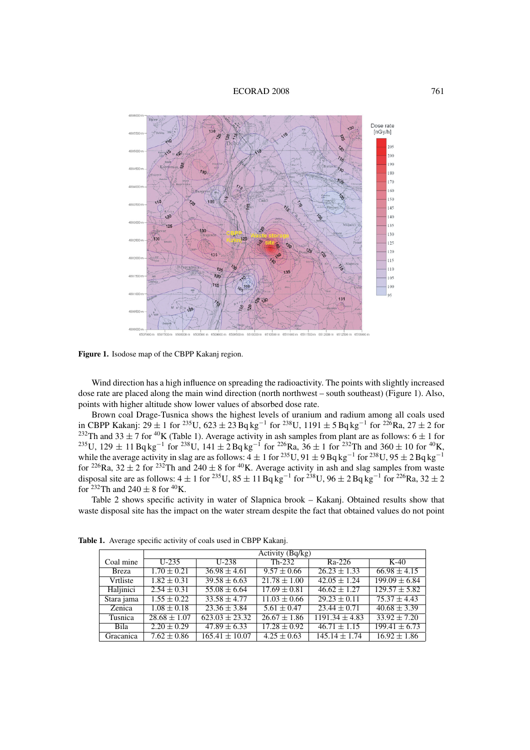#### ECORAD 2008 761



Figure 1. Isodose map of the CBPP Kakanj region.

Wind direction has a high influence on spreading the radioactivity. The points with slightly increased dose rate are placed along the main wind direction (north northwest – south southeast) (Figure 1). Also, points with higher altitude show lower values of absorbed dose rate.

Brown coal Drage-Tusnica shows the highest levels of uranium and radium among all coals used in CBPP Kakanj:  $29 \pm 1$  for  ${}^{235}U$ ,  $623 \pm 23$  Bq kg<sup>-1</sup> for  ${}^{238}U$ ,  $1191 \pm 5$  Bq kg<sup>-1</sup> for  ${}^{226}Ra$ ,  $27 \pm 2$  for <sup>232</sup>Th and 33  $\pm$  7 for <sup>40</sup>K (Table 1). Average activity in ash samples from plant are as follows: 6  $\pm$  1 for  $^{235}$ U, 129  $\pm$  11 Bq kg<sup>-1</sup> for <sup>238</sup>U, 141  $\pm$  2 Bq kg<sup>-1</sup> for <sup>226</sup>Ra, 36  $\pm$  1 for <sup>232</sup>Th and 360  $\pm$  10 for <sup>40</sup>K, while the average activity in slag are as follows:  $4 \pm 1$  for <sup>235</sup>U,  $91 \pm 9$  Bq kg<sup>-1</sup> for <sup>238</sup>U,  $95 \pm 2$  Bq kg<sup>-1</sup> for <sup>226</sup>Ra, 32  $\pm$  2 for <sup>232</sup>Th and 240  $\pm$  8 for <sup>40</sup>K. Average activity in ash and slag samples from waste disposal site are as follows:  $4 \pm 1$  for <sup>235</sup>U,  $85 \pm 11$  Bq kg<sup>-1</sup> for <sup>238</sup>U,  $96 \pm 2$  Bq kg<sup>-1</sup> for <sup>226</sup>Ra,  $32 \pm 2$ for  $232$ Th and  $240 \pm 8$  for  $40$ K.

Table 2 shows specific activity in water of Slapnica brook – Kakanj. Obtained results show that waste disposal site has the impact on the water stream despite the fact that obtained values do not point

|              | $\overline{\text{Activity}}$ (Bq/kg) |                    |                             |                    |                              |
|--------------|--------------------------------------|--------------------|-----------------------------|--------------------|------------------------------|
| Coal mine    | $U-235$                              | $U-238$            | $Th-232$                    | $Ra-226$           | $K-40$                       |
| <b>Breza</b> | $1.70 \pm 0.21$                      | $36.98 \pm 4.61$   | $9.57 \pm 0.66$             | $26.23 \pm 1.33$   | $66.98 \pm 4.15$             |
| Vrtliste     | $1.82 \pm 0.31$                      | $39.58 \pm 6.63$   | $\overline{21.78} \pm 1.00$ | $42.05 \pm 1.24$   | $199.09 \pm 6.84$            |
| Haljinici    | $2.54 \pm 0.31$                      | $55.08 \pm 6.64$   | $17.69 \pm 0.81$            | $46.62 \pm 1.27$   | $129.57 \pm 5.82$            |
| Stara jama   | $1.55 \pm 0.22$                      | $33.58 \pm 4.77$   | $11.03 \pm 0.66$            | $29.23 \pm 0.11$   | $75.37 \pm 4.43$             |
| Zenica       | $1.08 \pm 0.18$                      | $23.36 \pm 3.84$   | $5.61 \pm 0.47$             | $23.44 \pm 0.71$   | $40.68 \pm 3.39$             |
| Tusnica      | $28.68 \pm 1.07$                     | $623.03 \pm 23.32$ | $26.67 \pm 1.86$            | $1191.34 \pm 4.83$ | $33.92 \pm 7.20$             |
| Bila         | $2.20 \pm 0.29$                      | $47.89 \pm 6.33$   | $17.28 \pm 0.92$            | $46.71 \pm 1.15$   | $\overline{199.41} \pm 6.73$ |
| Gracanica    | $7.62 \pm 0.86$                      | $165.41 \pm 10.07$ | $4.25 \pm 0.63$             | $145.14 \pm 1.74$  | $16.92 \pm 1.86$             |

**Table 1.** Average specific activity of coals used in CBPP Kakanj.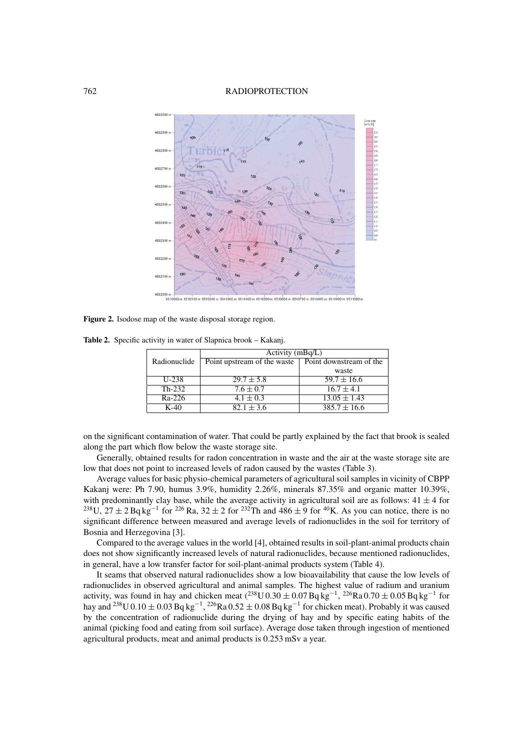### 762 RADIOPROTECTION



**Figure 2.** Isodose map of the waste disposal storage region.

**Table 2.** Specific activity in water of Slapnica brook – Kakanj.

|              | Activity $(mBq/L)$          |                         |  |  |
|--------------|-----------------------------|-------------------------|--|--|
| Radionuclide | Point upstream of the waste | Point downstream of the |  |  |
|              |                             | waste                   |  |  |
| U-238        | $29.7 \pm 5.8$              | $59.7 \pm 16.6$         |  |  |
| $Th-232$     | $7.6 \pm 0.7$               | $16.7 \pm 4.1$          |  |  |
| $Ra-226$     | $4.1 \pm 0.3$               | $13.05 \pm 1.43$        |  |  |
| $K-40$       | $82.1 \pm 3.6$              | $385.7 \pm 16.6$        |  |  |

on the significant contamination of water. That could be partly explained by the fact that brook is sealed along the part which flow below the waste storage site.

Generally, obtained results for radon concentration in waste and the air at the waste storage site are low that does not point to increased levels of radon caused by the wastes (Table 3).

Average values for basic physio-chemical parameters of agricultural soil samples in vicinity of CBPP Kakanj were: Ph 7.90, humus 3.9%, humidity 2.26%, minerals 87.35% and organic matter 10.39%, with predominantly clay base, while the average activity in agricultural soil are as follows:  $41 \pm 4$  for <sup>238</sup>U, 27 ± 2 Bq kg<sup>-1</sup> for <sup>226</sup> Ra, 32 ± 2 for <sup>232</sup>Th and 486 ± 9 for <sup>40</sup>K. As you can notice, there is no significant difference between measured and average levels of radionuclides in the soil for territory of Bosnia and Herzegovina [3].

Compared to the average values in the world [4], obtained results in soil-plant-animal products chain does not show significantly increased levels of natural radionuclides, because mentioned radionuclides, in general, have a low transfer factor for soil-plant-animal products system (Table 4).

It seams that observed natural radionuclides show a low bioavailability that cause the low levels of radionuclides in observed agricultural and animal samples. The highest value of radium and uranium activity, was found in hay and chicken meat  $(^{238}U 0.30 \pm 0.07 Bq kg^{-1}$ ,  $^{226}Ra 0.70 \pm 0.05 Bq kg^{-1}$  for hay and <sup>238</sup>U 0.10 ± 0.03 Bq kg<sup>-1</sup>, <sup>226</sup>Ra 0.52 ± 0.08 Bq kg<sup>-1</sup> for chicken meat). Probably it was caused by the concentration of radionuclide during the drying of hay and by specific eating habits of the animal (picking food and eating from soil surface). Average dose taken through ingestion of mentioned agricultural products, meat and animal products is 0.253 mSv a year.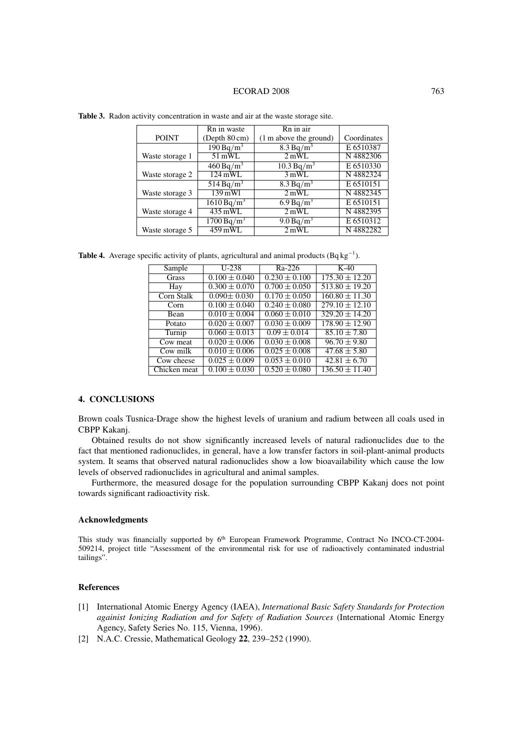#### ECORAD 2008 763

|                 | Rn in waste                                    | Rn in air              |             |
|-----------------|------------------------------------------------|------------------------|-------------|
| <b>POINT</b>    | (Depth 80 cm)                                  | (1 m above the ground) | Coordinates |
|                 | 190 Bq/m <sup>3</sup><br>8.3 Bq/m <sup>3</sup> |                        | E 6510387   |
| Waste storage 1 | $51$ mWL                                       | 2mWL                   | N4882306    |
|                 | $460 Bq/m^3$                                   | $10.3 Bq/m^3$          | E 6510330   |
| Waste storage 2 | $124$ mWL                                      | 3mWL                   | N4882324    |
|                 | $514 Bq/m^3$                                   | 8.3 Bq/m <sup>3</sup>  | E 6510151   |
| Waste storage 3 | 139 mWl                                        | 2mWL                   | N4882345    |
|                 | $1610 Bq/m^3$                                  | 6.9 Bq/m <sup>3</sup>  | E 6510151   |
| Waste storage 4 | $435$ mWL                                      | 2mWL                   | N4882395    |
|                 | $1700 Bq/m^3$                                  | 9.0 Bq/m <sup>3</sup>  | E 6510312   |
| Waste storage 5 | 459 mWL                                        | 2mWL                   | N 4882282   |

**Table 3.** Radon activity concentration in waste and air at the waste storage site.

**Table 4.** Average specific activity of plants, agricultural and animal products  $(Bq \log^{-1})$ .

| Sample       | $U-238$           | Ra-226            | $K-40$                        |
|--------------|-------------------|-------------------|-------------------------------|
| Grass        | $0.100 \pm 0.040$ | $0.230 \pm 0.100$ | $175.30 \pm 12.20$            |
| Hay          | $0.300 \pm 0.070$ | $0.700 \pm 0.050$ | $513.80 \pm 19.20$            |
| Corn Stalk   | $0.090 \pm 0.030$ | $0.170 \pm 0.050$ | $\overline{160.80} \pm 11.30$ |
| Corn         | $0.100 \pm 0.040$ | $0.240 \pm 0.080$ | $279.10 \pm 12.10$            |
| Bean         | $0.010 \pm 0.004$ | $0.060 \pm 0.010$ | $329.20 \pm 14.20$            |
| Potato       | $0.020 \pm 0.007$ | $0.030 \pm 0.009$ | $178.90 \pm 12.90$            |
| Turnip       | $0.060 \pm 0.013$ | $0.09 \pm 0.014$  | $85.10 \pm 7.80$              |
| Cow meat     | $0.020 \pm 0.006$ | $0.030 \pm 0.008$ | $96.70 \pm 9.80$              |
| Cow milk     | $0.010 \pm 0.006$ | $0.025 \pm 0.008$ | $47.68 \pm 5.80$              |
| Cow cheese   | $0.025 \pm 0.009$ | $0.053 \pm 0.010$ | $42.81 \pm 6.70$              |
| Chicken meat | $0.100 \pm 0.030$ | $0.520 \pm 0.080$ | $136.50 \pm 11.40$            |

# **4. CONCLUSIONS**

Brown coals Tusnica-Drage show the highest levels of uranium and radium between all coals used in CBPP Kakanj.

Obtained results do not show significantly increased levels of natural radionuclides due to the fact that mentioned radionuclides, in general, have a low transfer factors in soil-plant-animal products system. It seams that observed natural radionuclides show a low bioavailability which cause the low levels of observed radionuclides in agricultural and animal samples.

Furthermore, the measured dosage for the population surrounding CBPP Kakanj does not point towards significant radioactivity risk.

# **Acknowledgments**

This study was financially supported by 6<sup>th</sup> European Framework Programme, Contract No INCO-CT-2004-509214, project title "Assessment of the environmental risk for use of radioactively contaminated industrial tailings".

### **References**

- [1] International Atomic Energy Agency (IAEA), *International Basic Safety Standards for Protection againist Ionizing Radiation and for Safety of Radiation Sources* (International Atomic Energy Agency, Safety Series No. 115, Vienna, 1996).
- [2] N.A.C. Cressie, Mathematical Geology **22**, 239–252 (1990).